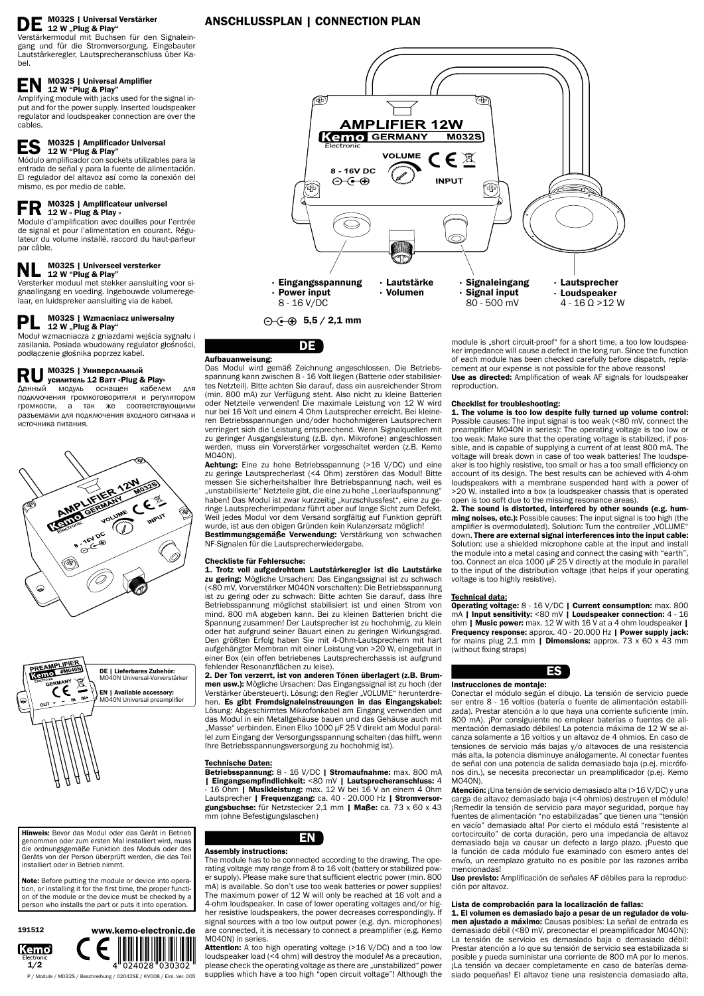#### M032S | Universal Verstärker 12 W "Plug & Play"

Verstärkermodul mit Buchsen für den Signaleingang und für die Stromversorgung. Eingebauter Lautstärkeregler, Lautsprecheranschluss über Kabel.

#### $EN$  M032S | Universal Amplifier 12 W "Plug & Play"

#### $ES$  M032S | Amplificador Universal 12 W "Plug & Play"

Amplifying module with jacks used for the signal input and for the power supply. Inserted loudspeaker regulator and loudspeaker connection are over the cables.

#### $\mathbf{FR}$  M032S | Amplificateur universel 12 W « Plug & Play »

Módulo amplificador con sockets utilizables para la entrada de señal y para la fuente de alimentación. El regulador del altavoz así como la conexión del mismo, es por medio de cable.

Module d'amplification avec douilles pour l'entrée de signal et pour l'alimentation en courant. Régulateur du volume installé, raccord du haut-parleur par câble.

## NL M032S | Universeel versterker 12 W "Plug & Play"

Versterker moduul met stekker aansluiting voor signaalingang en voeding. Ingebouwde volumeregelaar, en luidspreker aansluiting via de kabel.

#### M032S | Wzmacniacz uniwersalny 12 W "Plug & Play"

Achtung: Eine zu hohe Betriebsspannung (>16 V/DC) und eine zu geringe Lautsprecherlast (<4 Ohm) zerstören das Modul! Bitte messen Sie sicherheitshalber Ihre Betriebspannung nach, weil es "unstabilisierte" Netzteile gibt, die eine zu hohe "Leerlaufspannung" haben! Das Modul ist zwar kurzzeitig "kurzschlussfest", eine zu geringe Lautsprecherimpedanz führt aber auf lange Sicht zum Defekt. Weil jedes Modul vor dem Versand sorgfältig auf Funktion geprüft wurde, ist aus den obigen Gründen kein Kulanzersatz möglich! Bestimmungsgemäße Verwendung: Verstärkung von schwachen

Moduł wzmacniacza z gniazdami wejścia sygnału i zasilania. Posiada wbudowany regulator głośności, podłączenie głośnika poprzez kabel.

# **RU** M032S | Универсальный<br>
Усилитель 12 Ватт «Plug & Play»<br>
ACULTIMATE MONOUL SOLUTION MORENO

Данный модуль оснащен кабелем для подключения громкоговорителя и регулятором громкости, а так же соответствующими разъемами для подключения входного сигнала и источника питания.



### DE

Aufbauanweisung:

Das Modul wird gemäß Zeichnung angeschlossen. Die Betriebsspannung kann zwischen 8 - 16 Volt liegen (Batterie oder stabilisiertes Netzteil). Bitte achten Sie darauf, dass ein ausreichender Strom (min. 800 mA) zur Verfügung steht. Also nicht zu kleine Batterien oder Netzteile verwenden! Die maximale Leistung von 12 W wird nur bei 16 Volt und einem 4 Ohm Lautsprecher erreicht. Bei kleineren Betriebsspannungen und/oder hochohmigeren Lautsprechern verringert sich die Leistung entsprechend. Wenn Signalquellen mit zu geringer Ausgangsleistung (z.B. dyn. Mikrofone) angeschlossen werden, muss ein Vorverstärker vorgeschaltet werden (z.B. Kemo M040N).

- 16 Ohm | Musikleistung: max. 12 W bei 16 V an einem 4 Ohm Lautsprecher | Frequenzgang: ca. 40 - 20.000 Hz | Stromversorgungsbuchse: für Netzstecker 2,1 mm | Maße: ca. 73 x 60 x 43 mm (ohne Befestigungslaschen)

Attention: A too high operating voltage (>16 V/DC) and a too low loudspeaker load (<4 ohm) will destroy the module! As a precaution, please check the operating voltage as there are "unstabilized" power supplies which have a too high "open circuit voltage"! Although the

NF-Signalen für die Lautsprecherwiedergabe.

#### Checkliste für Fehlersuche:

module is "short circuit-proof" for a short time, a too low loudspeaker impedance will cause a defect in the long run. Since the function of each module has been checked carefully before dispatch, replacement at our expense is not possible for the above reasons! Use as directed: Amplification of weak AF signals for loudspeaker reproduction.

1. Trotz voll aufgedrehtem Lautstärkeregler ist die Lautstärke zu gering: Mögliche Ursachen: Das Eingangssignal ist zu schwach (<80 mV, Vorverstärker M040N vorschalten): Die Betriebsspannung ist zu gering oder zu schwach: Bitte achten Sie darauf, dass Ihre Betriebsspannung möglichst stabilisiert ist und einen Strom von mind. 800 mA abgeben kann. Bei zu kleinen Batterien bricht die Spannung zusammen! Der Lautsprecher ist zu hochohmig, zu klein oder hat aufgrund seiner Bauart einen zu geringen Wirkungsgrad. Den größten Erfolg haben Sie mit 4-Ohm-Lautsprechern mit hart aufgehängter Membran mit einer Leistung von >20 W, eingebaut in einer Box (ein offen betriebenes Lautsprecherchassis ist aufgrund fehlender Resonanzflächen zu leise).

2. Der Ton verzerrt, ist von anderen Tönen überlagert (z.B. Brummen usw.): Mögliche Ursachen: Das Eingangssignal ist zu hoch (der Verstärker übersteuert). Lösung: den Regler "VOLUME" herunterdrehen. Es gibt Fremdsignaleinstreuungen in das Eingangskabel: Lösung: Abgeschirmtes Mikrofonkabel am Eingang verwenden und das Modul in ein Metallgehäuse bauen und das Gehäuse auch mit "Masse" verbinden. Einen Elko 1000 µF 25 V direkt am Modul parallel zum Eingang der Versorgungsspannung schalten (das hilft, wenn Ihre Betriebsspannungsversorgung zu hochohmig ist).

#### Technische Daten:

Betriebsspannung: 8 - 16 V/DC | Stromaufnahme: max. 800 mA | Eingangsempfindlichkeit: <80 mV | Lautsprecheranschluss: 4



#### Assembly instructions:

The module has to be connected according to the drawing. The operating voltage may range from 8 to 16 volt (battery or stabilized power supply). Please make sure that sufficient electric power (min. 800 mA) is available. So don't use too weak batteries or power supplies! The maximum power of 12 W will only be reached at 16 volt and a 4-ohm loudspeaker. In case of lower operating voltages and/or higher resistive loudspeakers, the power decreases correspondingly. If signal sources with a too low output power (e.g. dyn. microphones) are connected, it is necessary to connect a preamplifier (e.g. Kemo M040N) in series.

Note: Before putting the module or device into operation, or installing it for the first time, the proper function of the module or the device must be checked by a person who installs the part or puts it into operation.

#### Checklist for troubleshooting:

1. The volume is too low despite fully turned up volume control: Possible causes: The input signal is too weak (<80 mV, connect the preamplifier M040N in series): The operating voltage is too low or too weak: Make sure that the operating voltage is stabilized, if possible, and is capable of supplying a current of at least 800 mA. The voltage will break down in case of too weak batteries! The loudspeaker is too highly resistive, too small or has a too small efficiency on account of its design. The best results can be achieved with 4-ohm loudspeakers with a membrane suspended hard with a power of >20 W, installed into a box (a loudspeaker chassis that is operated open is too soft due to the missing resonance areas).

2. The sound is distorted, interfered by other sounds (e.g. humming noises, etc.): Possible causes: The input signal is too high (the amplifier is overmodulated). Solution: Turn the controller "VOLUME" down. There are external signal interferences into the input cable: Solution: use a shielded microphone cable at the input and install the module into a metal casing and connect the casing with "earth", too. Connect an elca 1000 µF 25 V directly at the module in parallel to the input of the distribution voltage (that helps if your operating voltage is too highly resistive).

#### Technical data:

Operating voltage: 8 - 16 V/DC | Current consumption: max. 800 mA | Input sensitivity: <80 mV | Loudspeaker connection: 4 - 16 ohm | Music power: max. 12 W with 16 V at a 4 ohm loudspeaker | Frequency response: approx. 40 - 20.000 Hz | Power supply jack: for mains plug 2.1 mm | Dimensions: approx. 73 x 60 x 43 mm (without fixing straps)



#### Instrucciones de montaje:

Conectar el módulo según el dibujo. La tensión de servicio puede ser entre 8 - 16 voltios (batería o fuente de alimentación estabilizada). Prestar atención a lo que haya una corriente suficiente (mín. 800 mA). ¡Por consiguiente no emplear baterías o fuentes de alimentación demasiado débiles! La potencia máxima de 12 W se alcanza solamente a 16 voltios y un altavoz de 4 ohmios. En caso de tensiones de servicio más bajas y/o altavoces de una resistencia más alta, la potencia disminuye análogamente. Al conectar fuentes de señal con una potencia de salida demasiado baja (p.ej. micrófonos din.), se necesita preconectar un preamplificador (p.ej. Kemo M040N). Atención: ¡Una tensión de servicio demasiado alta (>16 V/DC) y una carga de altavoz demasiado baja (<4 ohmios) destruyen el módulo! ¡Remedir la tensión de servicio para mayor seguridad, porque hay fuentes de alimentación "no estabilizadas" que tienen una "tensión en vacío" demasiado alta! Por cierto el módulo está "resistente al cortocircuito" de corta duración, pero una impedancia de altavoz demasiado baja va causar un defecto a largo plazo. ¡Puesto que la función de cada módulo fue examinado con esmero antes del envío, un reemplazo gratuito no es posible por las razones arriba mencionadas!



Uso previsto: Amplificación de señales AF débiles para la reproducción por altavoz.

#### Lista de comprobación para la localización de fallas:

1. El volumen es demasiado bajo a pesar de un regulador de volumen ajustado a máximo: Causas posibles: La señal de entrada es demasiado débil (<80 mV, preconectar el preamplificador M040N): La tensión de servicio es demasiado baja o demasiado débil: Prestar atención a lo que su tensión de servicio sea estabilizada si posible y pueda suministar una corriente de 800 mA por lo menos. ¡La tensión va decaer completamente en caso de baterías demasiado pequeñas! El altavoz tiene una resistencia demasiado alta,

### ANSCHLUSSPLAN | CONNECTION PLAN

P / Module / M032S / Beschreibung / 02042SE / KV008 / Einl. Ver. 005



1/2







 $\bigoplus$  ( $\bigoplus$   $\bigoplus$  5,5 / 2,1 mm

Hinweis: Bevor das Modul oder das Gerät in Betrieb genommen oder zum ersten Mal installiert wird, muss die ordnungsgemäße Funktion des Moduls oder des Geräts von der Person überprüft werden, die das Teil installiert oder in Betrieb nimmt.